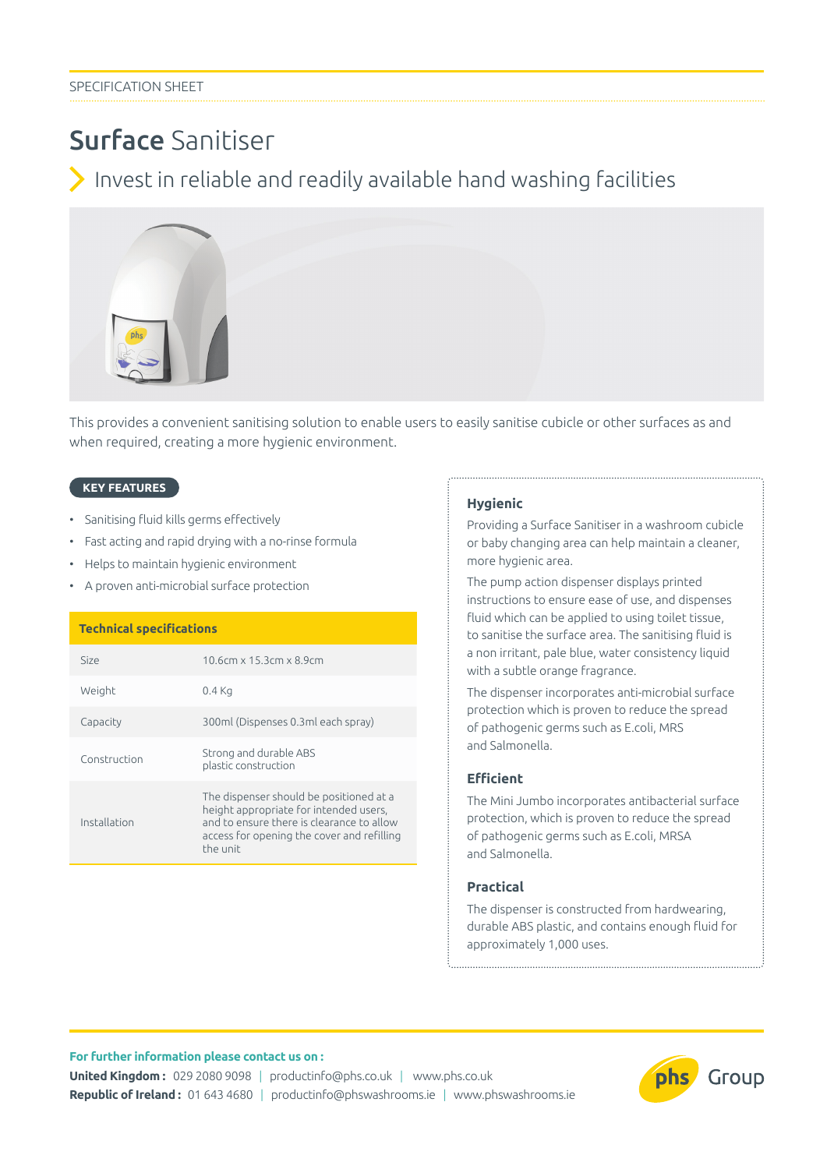# Surface Sanitiser

Invest in reliable and readily available hand washing facilities



This provides a convenient sanitising solution to enable users to easily sanitise cubicle or other surfaces as and when required, creating a more hygienic environment.

## **KEY FEATURES**

- Sanitising fluid kills germs effectively
- Fast acting and rapid drying with a no-rinse formula
- Helps to maintain hygienic environment
- A proven anti-microbial surface protection

#### **Technical specifications**

| Size         | 10.6cm x 15.3cm x 8.9cm                                                                                                                                                                  |
|--------------|------------------------------------------------------------------------------------------------------------------------------------------------------------------------------------------|
| Weight       | $0.4$ Kg                                                                                                                                                                                 |
| Capacity     | 300ml (Dispenses 0.3ml each spray)                                                                                                                                                       |
| Construction | Strong and durable ABS<br>plastic construction                                                                                                                                           |
| Installation | The dispenser should be positioned at a<br>height appropriate for intended users,<br>and to ensure there is clearance to allow<br>access for opening the cover and refilling<br>the unit |

#### **Hygienic**

Providing a Surface Sanitiser in a washroom cubicle or baby changing area can help maintain a cleaner, more hygienic area.

The pump action dispenser displays printed instructions to ensure ease of use, and dispenses fluid which can be applied to using toilet tissue, to sanitise the surface area. The sanitising fluid is a non irritant, pale blue, water consistency liquid with a subtle orange fragrance.

The dispenser incorporates anti-microbial surface protection which is proven to reduce the spread of pathogenic germs such as E.coli, MRS and Salmonella.

# **Efficient**

The Mini Jumbo incorporates antibacterial surface protection, which is proven to reduce the spread of pathogenic germs such as E.coli, MRSA and Salmonella.

# **Practical**

The dispenser is constructed from hardwearing, durable ABS plastic, and contains enough fluid for approximately 1,000 uses.

### **For further information please contact us on :**